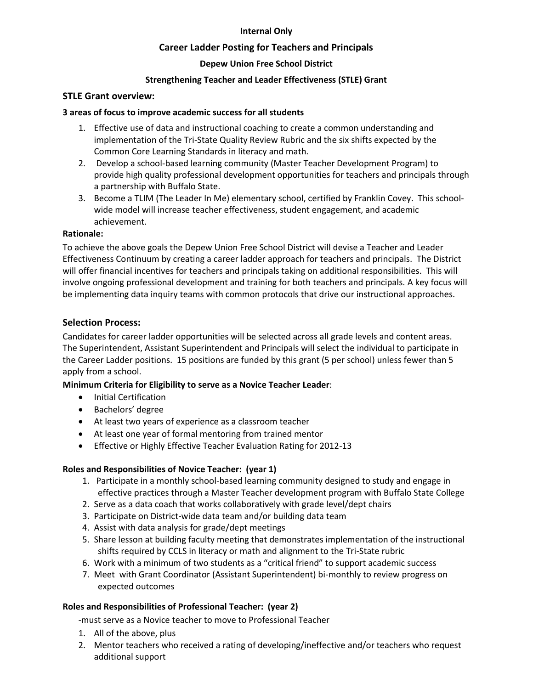## **Internal Only**

# **Career Ladder Posting for Teachers and Principals**

# **Depew Union Free School District**

# **Strengthening Teacher and Leader Effectiveness (STLE) Grant**

#### **STLE Grant overview:**

#### **3 areas of focus to improve academic success for all students**

- 1. Effective use of data and instructional coaching to create a common understanding and implementation of the Tri-State Quality Review Rubric and the six shifts expected by the Common Core Learning Standards in literacy and math.
- 2. Develop a school-based learning community (Master Teacher Development Program) to provide high quality professional development opportunities for teachers and principals through a partnership with Buffalo State.
- 3. Become a TLIM (The Leader In Me) elementary school, certified by Franklin Covey. This schoolwide model will increase teacher effectiveness, student engagement, and academic achievement.

#### **Rationale:**

To achieve the above goals the Depew Union Free School District will devise a Teacher and Leader Effectiveness Continuum by creating a career ladder approach for teachers and principals. The District will offer financial incentives for teachers and principals taking on additional responsibilities. This will involve ongoing professional development and training for both teachers and principals. A key focus will be implementing data inquiry teams with common protocols that drive our instructional approaches.

## **Selection Process:**

Candidates for career ladder opportunities will be selected across all grade levels and content areas. The Superintendent, Assistant Superintendent and Principals will select the individual to participate in the Career Ladder positions. 15 positions are funded by this grant (5 per school) unless fewer than 5 apply from a school.

## **Minimum Criteria for Eligibility to serve as a Novice Teacher Leader**:

- **•** Initial Certification
- Bachelors' degree
- At least two years of experience as a classroom teacher
- At least one year of formal mentoring from trained mentor
- **Effective or Highly Effective Teacher Evaluation Rating for 2012-13**

## **Roles and Responsibilities of Novice Teacher: (year 1)**

- 1. Participate in a monthly school-based learning community designed to study and engage in effective practices through a Master Teacher development program with Buffalo State College
- 2. Serve as a data coach that works collaboratively with grade level/dept chairs
- 3. Participate on District-wide data team and/or building data team
- 4. Assist with data analysis for grade/dept meetings
- 5. Share lesson at building faculty meeting that demonstrates implementation of the instructional shifts required by CCLS in literacy or math and alignment to the Tri-State rubric
- 6. Work with a minimum of two students as a "critical friend" to support academic success
- 7. Meet with Grant Coordinator (Assistant Superintendent) bi-monthly to review progress on expected outcomes

## **Roles and Responsibilities of Professional Teacher: (year 2)**

-must serve as a Novice teacher to move to Professional Teacher

- 1. All of the above, plus
- 2. Mentor teachers who received a rating of developing/ineffective and/or teachers who request additional support